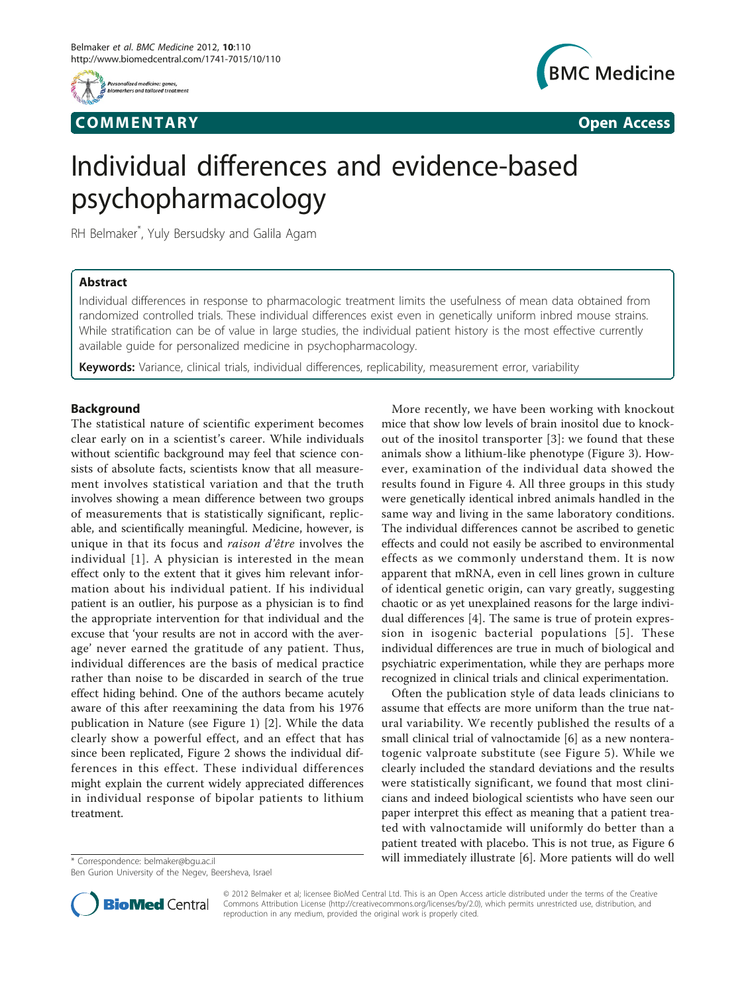

## **COMMENTARY** COMMENTARY **COMMENTARY**



# Individual differences and evidence-based psychopharmacology

RH Belmaker\* , Yuly Bersudsky and Galila Agam

## Abstract

Individual differences in response to pharmacologic treatment limits the usefulness of mean data obtained from randomized controlled trials. These individual differences exist even in genetically uniform inbred mouse strains. While stratification can be of value in large studies, the individual patient history is the most effective currently available guide for personalized medicine in psychopharmacology.

Keywords: Variance, clinical trials, individual differences, replicability, measurement error, variability

## Background

The statistical nature of scientific experiment becomes clear early on in a scientist's career. While individuals without scientific background may feel that science consists of absolute facts, scientists know that all measurement involves statistical variation and that the truth involves showing a mean difference between two groups of measurements that is statistically significant, replicable, and scientifically meaningful. Medicine, however, is unique in that its focus and raison d'être involves the individual [[1](#page-3-0)]. A physician is interested in the mean effect only to the extent that it gives him relevant information about his individual patient. If his individual patient is an outlier, his purpose as a physician is to find the appropriate intervention for that individual and the excuse that 'your results are not in accord with the average' never earned the gratitude of any patient. Thus, individual differences are the basis of medical practice rather than noise to be discarded in search of the true effect hiding behind. One of the authors became acutely aware of this after reexamining the data from his 1976 publication in Nature (see Figure [1](#page-1-0)) [\[2](#page-3-0)]. While the data clearly show a powerful effect, and an effect that has since been replicated, Figure [2](#page-1-0) shows the individual differences in this effect. These individual differences might explain the current widely appreciated differences in individual response of bipolar patients to lithium treatment.

Ben Gurion University of the Negev, Beersheva, Israel

More recently, we have been working with knockout mice that show low levels of brain inositol due to knockout of the inositol transporter [[3](#page-3-0)]: we found that these animals show a lithium-like phenotype (Figure [3\)](#page-1-0). However, examination of the individual data showed the results found in Figure [4](#page-2-0). All three groups in this study were genetically identical inbred animals handled in the same way and living in the same laboratory conditions. The individual differences cannot be ascribed to genetic effects and could not easily be ascribed to environmental effects as we commonly understand them. It is now apparent that mRNA, even in cell lines grown in culture of identical genetic origin, can vary greatly, suggesting chaotic or as yet unexplained reasons for the large individual differences [[4](#page-3-0)]. The same is true of protein expression in isogenic bacterial populations [[5](#page-3-0)]. These individual differences are true in much of biological and psychiatric experimentation, while they are perhaps more recognized in clinical trials and clinical experimentation.

Often the publication style of data leads clinicians to assume that effects are more uniform than the true natural variability. We recently published the results of a small clinical trial of valnoctamide [[6\]](#page-3-0) as a new nonteratogenic valproate substitute (see Figure [5](#page-2-0)). While we clearly included the standard deviations and the results were statistically significant, we found that most clinicians and indeed biological scientists who have seen our paper interpret this effect as meaning that a patient treated with valnoctamide will uniformly do better than a patient treated with placebo. This is not true, as Figure [6](#page-2-0) \* Correspondence: [belmaker@bgu.ac.il](mailto:belmaker@bgu.ac.il) **will immediately illustrate** [[6\]](#page-3-0). More patients will do well



© 2012 Belmaker et al; licensee BioMed Central Ltd. This is an Open Access article distributed under the terms of the Creative Commons Attribution License [\(http://creativecommons.org/licenses/by/2.0](http://creativecommons.org/licenses/by/2.0)), which permits unrestricted use, distribution, and reproduction in any medium, provided the original work is properly cited.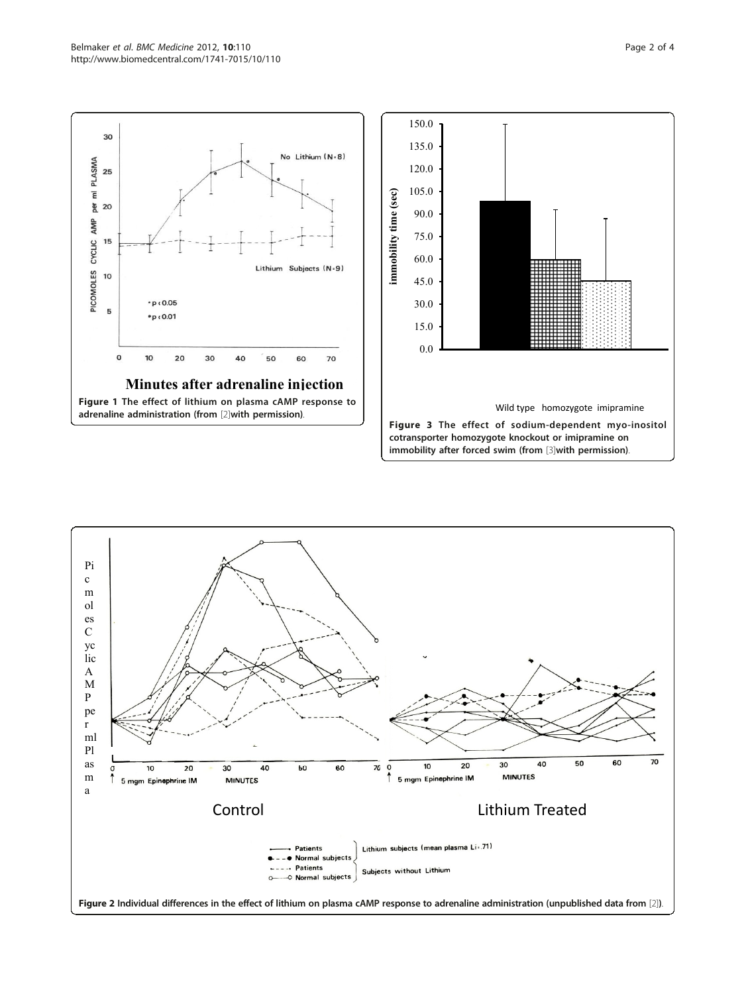

<span id="page-1-0"></span>

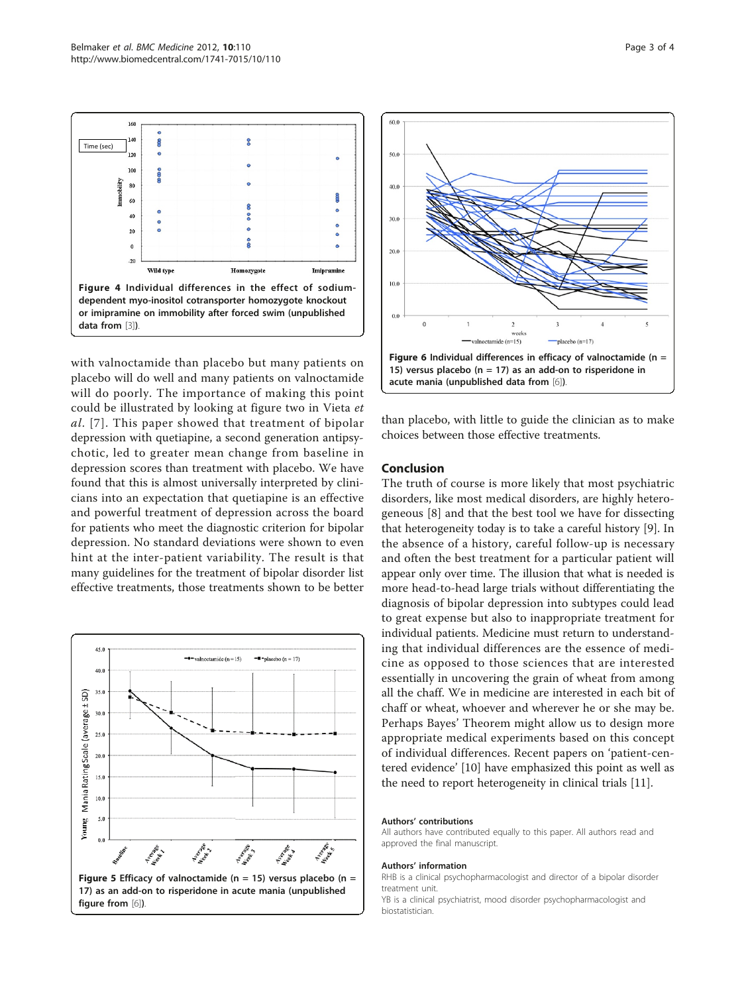<span id="page-2-0"></span> $160$  $\overline{a}$ Time (sec) m  $\overline{\mathbf{3}}$ 8 61  $\overline{a}$  $\overline{2}$  $\overline{1}$  $\overline{\mathcal{U}}$ Wild type Homozygote **Iminrs** Figure 4 Individual differences in the effect of sodiumdependent myo-inositol cotransporter homozygote knockout or imipramine on immobility after forced swim (unpublished data from [\[3\]](#page-3-0)).

with valnoctamide than placebo but many patients on placebo will do well and many patients on valnoctamide will do poorly. The importance of making this point could be illustrated by looking at figure two in Vieta et al. [[7\]](#page-3-0). This paper showed that treatment of bipolar depression with quetiapine, a second generation antipsychotic, led to greater mean change from baseline in depression scores than treatment with placebo. We have found that this is almost universally interpreted by clinicians into an expectation that quetiapine is an effective and powerful treatment of depression across the board for patients who meet the diagnostic criterion for bipolar depression. No standard deviations were shown to even hint at the inter-patient variability. The result is that many guidelines for the treatment of bipolar disorder list effective treatments, those treatments shown to be better





than placebo, with little to guide the clinician as to make choices between those effective treatments.

## Conclusion

The truth of course is more likely that most psychiatric disorders, like most medical disorders, are highly heterogeneous [\[8](#page-3-0)] and that the best tool we have for dissecting that heterogeneity today is to take a careful history [[9\]](#page-3-0). In the absence of a history, careful follow-up is necessary and often the best treatment for a particular patient will appear only over time. The illusion that what is needed is more head-to-head large trials without differentiating the diagnosis of bipolar depression into subtypes could lead to great expense but also to inappropriate treatment for individual patients. Medicine must return to understanding that individual differences are the essence of medicine as opposed to those sciences that are interested essentially in uncovering the grain of wheat from among all the chaff. We in medicine are interested in each bit of chaff or wheat, whoever and wherever he or she may be. Perhaps Bayes' Theorem might allow us to design more appropriate medical experiments based on this concept of individual differences. Recent papers on 'patient-centered evidence' [\[10](#page-3-0)] have emphasized this point as well as the need to report heterogeneity in clinical trials [[11](#page-3-0)].

#### Authors' contributions

All authors have contributed equally to this paper. All authors read and approved the final manuscript.

#### Authors' information

RHB is a clinical psychopharmacologist and director of a bipolar disorder treatment unit.

YB is a clinical psychiatrist, mood disorder psychopharmacologist and biostatistician.